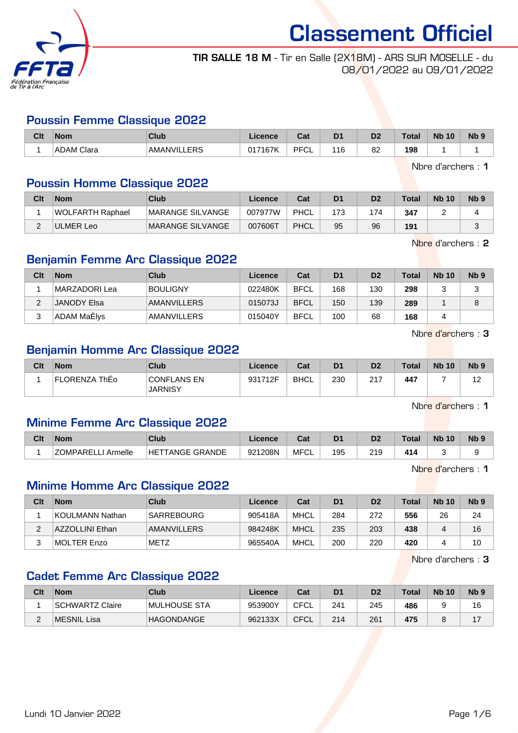

#### TIR SALLE 18 M - Tir en Salle (2X18M) - ARS SUR MOSELLE - du 08/01/2022 au 09/01/2022

#### Poussin Femme Classique 2022

| Clt | <b>Nom</b> | Club                  | Licence | $\sim$<br>ual     | D <sub>1</sub> | n <sub>o</sub><br>ש | Total | <b>N<sub>b</sub></b><br>10 | N <sub>b</sub> <sub>9</sub> |
|-----|------------|-----------------------|---------|-------------------|----------------|---------------------|-------|----------------------------|-----------------------------|
|     | ADAM Clara | <b>FRS</b><br>AMANVIL | 017167K | <b>DECI</b><br>◡∟ | 116            | 82                  | 198   |                            |                             |

Nbre d'archers : 1

#### Poussin Homme Classique 2022

| Clt | <b>Nom</b>       | Club                     | Licence | Cat  | D <sub>1</sub> | D <sub>2</sub> | <b>Total</b> | <b>Nb 10</b> | Nb <sub>9</sub> |
|-----|------------------|--------------------------|---------|------|----------------|----------------|--------------|--------------|-----------------|
|     | WOLFARTH Raphael | MARANGE SILVANGE         | 007977W | PHCL |                | 74             | 347          |              |                 |
| ⌒   | ULMER Leo        | <b>IMARANGE SILVANGE</b> | 007606T | PHCL | 95             | 96             | 191          |              |                 |

Nbre d'archers : 2

#### Benjamin Femme Arc Classique 2022

| Clt | <b>Nom</b>         | Club               | Licence | Cat         | D <sub>1</sub> | D <sub>2</sub> | <b>Total</b> | <b>Nb 10</b> | Nb <sub>9</sub> |
|-----|--------------------|--------------------|---------|-------------|----------------|----------------|--------------|--------------|-----------------|
|     | MARZADORI Lea      | BOULIGNY           | 022480K | <b>BFCL</b> | 168            | 130            | 298          |              |                 |
|     | JANODY Elsa        | <b>AMANVILLERS</b> | 015073J | <b>BFCL</b> | 150            | 139            | 289          |              |                 |
|     | <b>ADAM MaElys</b> | <b>AMANVILLERS</b> | 015040Y | <b>BFCL</b> | 100            | 68             | 168          |              |                 |

Nbre d'archers : 3

#### Benjamin Homme Arc Classique 2022

| Clt | <b>Nom</b>    | Club                                 | Licence | Cat  | D <sub>1</sub> | D <sub>2</sub> | <b>Total</b> | <b>Nb 10</b> | N <sub>b</sub> <sub>9</sub> |
|-----|---------------|--------------------------------------|---------|------|----------------|----------------|--------------|--------------|-----------------------------|
|     | FLORENZA ThEo | <b>CONFLANS EN</b><br><b>JARNISY</b> | 931712F | BHCL | 230            | つイフ<br>∠ ।     | 447          |              | $\overline{a}$              |

Nbre d'archers : 1

#### Minime Femme Arc Classique 2022

| Clt | <b>Nom</b>                 | Club                              | Licence | ⊶ ∼<br>ua  | D <sub>1</sub> | D2  | Total | <b>N<sub>b</sub></b><br>10 | <b>N<sub>b</sub></b> |
|-----|----------------------------|-----------------------------------|---------|------------|----------------|-----|-------|----------------------------|----------------------|
|     | <b>70MPARFI</b><br>Armelle | <b>TANGE GRANDE</b><br><b>HET</b> | 921208N | MFC'<br>◡∟ | 195            | 219 | 414   |                            |                      |

Nbre d'archers : 1

#### Minime Homme Arc Classique 2022

| Clt | <b>Nom</b>      | Club              | Licence | Cat         | D <sub>1</sub> | D <sub>2</sub> | Total | <b>Nb 10</b>   | N <sub>b</sub> <sub>9</sub> |
|-----|-----------------|-------------------|---------|-------------|----------------|----------------|-------|----------------|-----------------------------|
|     | KOULMANN Nathan | <b>SARREBOURG</b> | 905418A | <b>MHCL</b> | 284            | 272            | 556   | 26             | 24                          |
|     | AZZOLLINI Ethan | AMANVILLERS       | 984248K | <b>MHCL</b> | 235            | 203            | 438   | $\overline{a}$ | 16                          |
|     | MOLTER Enzo     | <b>METZ</b>       | 965540A | MHCL        | 200            | 220            | 420   |                | 10                          |

Nbre d'archers : 3

#### Cadet Femme Arc Classique 2022

| Clt | <b>Nom</b>      | Club              | Licence | Cat  | D <sub>1</sub> | D2  | <b>Total</b> | <b>Nb 10</b> | Nb <sub>9</sub> |
|-----|-----------------|-------------------|---------|------|----------------|-----|--------------|--------------|-----------------|
|     | SCHWARTZ Claire | IMULHOUSE STA     | 953900Y | CFCL | 241            | 245 | 486          |              | 16              |
| -   | MESNIL Lisa     | <b>HAGONDANGE</b> | 962133X | CFCL | 214            | 261 | 475          |              | 47              |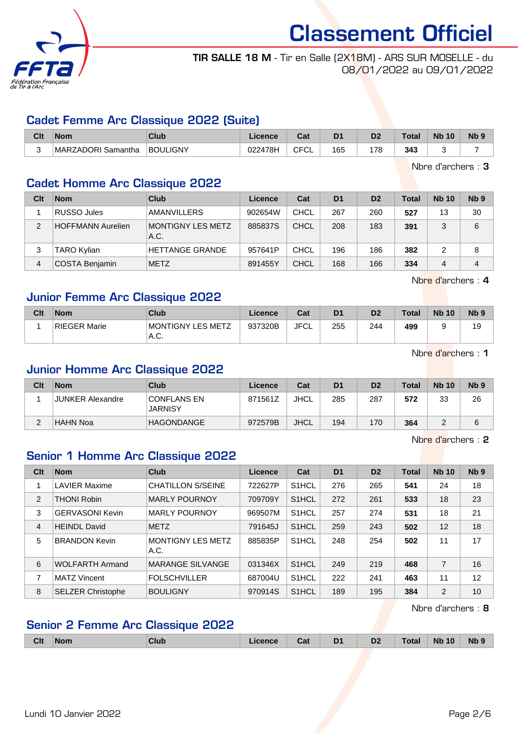

#### TIR SALLE 18 M - Tir en Salle (2X18M) - ARS SUR MOSELLE - du 08/01/2022 au 09/01/2022

#### Cadet Femme Arc Classique 2022 (Suite)

| Clt | <b>Nom</b>         | Club            | Licence |                        | D <sub>1</sub> | D <sub>2</sub> | Tota | <b>N<sub>b</sub></b><br>10 | N <sub>b</sub> 9 |
|-----|--------------------|-----------------|---------|------------------------|----------------|----------------|------|----------------------------|------------------|
|     | MARZADORI Samantha | <b>BOULIGNY</b> | 022478H | <b>CECI</b><br>◡<br>◡∟ | 165            | 79             | 343  |                            |                  |

Nbre d'archers : 3

#### Cadet Homme Arc Classique 2022

| Clt | <b>Nom</b>               | Club                              | Licence | Cat         | D <sub>1</sub> | D <sub>2</sub> | <b>Total</b> | <b>Nb 10</b> | Nb <sub>9</sub> |
|-----|--------------------------|-----------------------------------|---------|-------------|----------------|----------------|--------------|--------------|-----------------|
|     | RUSSO Jules              | <b>AMANVILLERS</b>                | 902654W | CHCL        | 267            | 260            | 527          | 13           | 30              |
| 2   | <b>HOFFMANN Aurelien</b> | <b>IMONTIGNY LES METZ</b><br>A.C. | 885837S | CHCL        | 208            | 183            | 391          |              | 6               |
| 3   | <b>TARO Kylian</b>       | <b>HETTANGE GRANDE</b>            | 957641P | <b>CHCL</b> | 196            | 186            | 382          |              | 8               |
| 4   | <b>COSTA Benjamin</b>    | <b>METZ</b>                       | 891455Y | <b>CHCL</b> | 168            | 166            | 334          | 4            | 4               |

Nbre d'archers : 4

#### Junior Femme Arc Classique 2022

| Clt | <b>Nom</b>   | Club                       | Licence | Cat  | D <sub>1</sub> | D <sub>2</sub> | Total | <b>Nb 10</b> | N <sub>b</sub> <sub>9</sub> |
|-----|--------------|----------------------------|---------|------|----------------|----------------|-------|--------------|-----------------------------|
|     | RIEGER Marie | MONTIGNY LES METZ<br>'A.C. | 937320B | JFCL | 255            | 244            | 499   |              | 19                          |

Nbre d'archers : 1

#### Junior Homme Arc Classique 2022

| Clt    | <b>Nom</b>              | Club                          | Licence | Cat         | D <sub>1</sub> | D <sub>2</sub> | <b>Total</b> | <b>Nb 10</b> | N <sub>b</sub> <sub>9</sub> |
|--------|-------------------------|-------------------------------|---------|-------------|----------------|----------------|--------------|--------------|-----------------------------|
|        | <b>JUNKER Alexandre</b> | CONFLANS EN<br><b>JARNISY</b> | 871561Z | <b>JHCL</b> | 285            | 287            | 572          | 33           | 26                          |
| ⌒<br>∠ | HAHN Noa                | <b>HAGONDANGE</b>             | 972579B | <b>JHCL</b> | 194            | 170            | 364          |              |                             |

Nbre d'archers : 2

#### Senior 1 Homme Arc Classique 2022

| Clt            | <b>Nom</b>               | <b>Club</b>                      | Licence | Cat                | D <sub>1</sub> | D <sub>2</sub> | <b>Total</b> | <b>Nb 10</b>   | Nb <sub>9</sub> |
|----------------|--------------------------|----------------------------------|---------|--------------------|----------------|----------------|--------------|----------------|-----------------|
|                | <b>LAVIER Maxime</b>     | <b>CHATILLON S/SEINE</b>         | 722627P | S <sub>1</sub> HCL | 276            | 265            | 541          | 24             | 18              |
| 2              | <b>THONI Robin</b>       | <b>MARLY POURNOY</b>             | 709709Y | S1HCL              | 272            | 261            | 533          | 18             | 23              |
| 3              | <b>GERVASONI Kevin</b>   | <b>MARLY POURNOY</b>             | 969507M | S <sub>1</sub> HCL | 257            | 274            | 531          | 18             | 21              |
| $\overline{4}$ | <b>HEINDL David</b>      | <b>METZ</b>                      | 791645J | S <sub>1</sub> HCL | 259            | 243            | 502          | 12             | 18              |
| 5              | <b>BRANDON Kevin</b>     | <b>MONTIGNY LES METZ</b><br>A.C. | 885835P | S <sub>1</sub> HCL | 248            | 254            | 502          | 11             | 17              |
| 6              | <b>WOLFARTH Armand</b>   | <b>MARANGE SILVANGE</b>          | 031346X | S <sub>1</sub> HCL | 249            | 219            | 468          | $\overline{7}$ | 16              |
| 7              | <b>MATZ Vincent</b>      | <b>FOLSCHVILLER</b>              | 687004U | S <sub>1</sub> HCL | 222            | 241            | 463          | 11             | 12              |
| 8              | <b>SELZER Christophe</b> | <b>BOULIGNY</b>                  | 970914S | S <sub>1</sub> HCL | 189            | 195            | 384          | 2              | 10              |

Nbre d'archers : 8

#### Senior 2 Femme Arc Classique 2022

|  | <b>Clt</b> | $\sqrt{N}$ | Club | Licence | Cat | D <sub>1</sub> | D <sub>2</sub> | <b>Total</b> | <b>Nb 10</b> | <b>Nb</b> |
|--|------------|------------|------|---------|-----|----------------|----------------|--------------|--------------|-----------|
|--|------------|------------|------|---------|-----|----------------|----------------|--------------|--------------|-----------|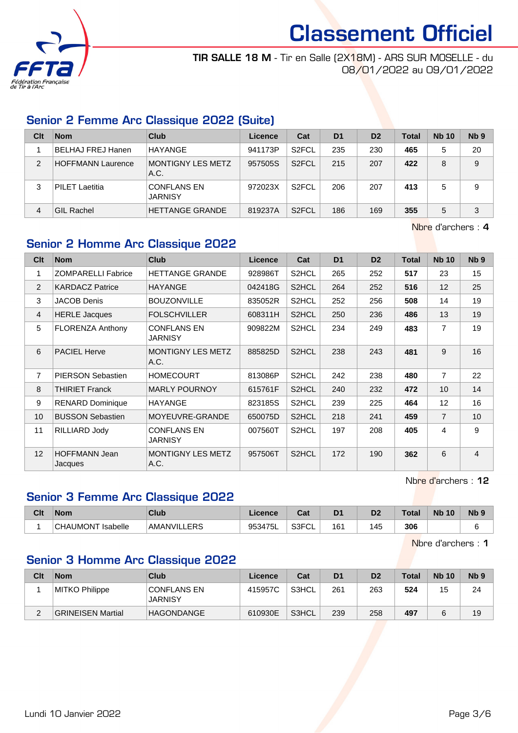

TIR SALLE 18 M - Tir en Salle (2X18M) - ARS SUR MOSELLE - du 08/01/2022 au 09/01/2022

#### Senior 2 Femme Arc Classique 2022 (Suite)

| Clt            | <b>Nom</b>               | Club                                 | Licence | Cat                | D <sub>1</sub> | D <sub>2</sub> | <b>Total</b> | <b>Nb 10</b> | N <sub>b</sub> <sub>9</sub> |
|----------------|--------------------------|--------------------------------------|---------|--------------------|----------------|----------------|--------------|--------------|-----------------------------|
|                | BELHAJ FREJ Hanen        | HAYANGE                              | 941173P | S <sub>2</sub> FCL | 235            | 230            | 465          | 5            | 20                          |
| $\overline{2}$ | <b>HOFFMANN Laurence</b> | MONTIGNY LES METZ<br>A.C.            | 957505S | S <sub>2</sub> FCL | 215            | 207            | 422          | 8            | 9                           |
| 3              | PILET Laetitia           | <b>CONFLANS EN</b><br><b>JARNISY</b> | 972023X | S <sub>2</sub> FCL | 206            | 207            | 413          | 5            | 9                           |
| 4              | <b>GIL Rachel</b>        | <b>HETTANGE GRANDE</b>               | 819237A | S <sub>2</sub> FCL | 186            | 169            | 355          | 5            | 3                           |

Nbre d'archers : 4

#### Senior 2 Homme Arc Classique 2022

| Clt            | <b>Nom</b>                      | <b>Club</b>                      | <b>Licence</b> | Cat                | D <sub>1</sub> | D <sub>2</sub> | Total | <b>Nb 10</b>   | N <sub>b</sub> <sub>9</sub> |
|----------------|---------------------------------|----------------------------------|----------------|--------------------|----------------|----------------|-------|----------------|-----------------------------|
| 1              | <b>ZOMPARELLI Fabrice</b>       | <b>HETTANGE GRANDE</b>           | 928986T        | S2HCL              | 265            | 252            | 517   | 23             | 15                          |
| 2              | <b>KARDACZ Patrice</b>          | <b>HAYANGE</b>                   | 042418G        | S2HCL              | 264            | 252            | 516   | 12             | 25                          |
| 3              | <b>JACOB Denis</b>              | <b>BOUZONVILLE</b>               | 835052R        | S2HCL              | 252            | 256            | 508   | 14             | 19                          |
| $\overline{4}$ | <b>HERLE Jacques</b>            | <b>FOLSCHVILLER</b>              | 608311H        | S2HCL              | 250            | 236            | 486   | 13             | 19                          |
| 5              | <b>FLORENZA Anthony</b>         | <b>CONFLANS EN</b><br>JARNISY    | 909822M        | S2HCL              | 234            | 249            | 483   | $\overline{7}$ | 19                          |
| 6              | <b>PACIEL Herve</b>             | <b>MONTIGNY LES METZ</b><br>A.C. | 885825D        | S <sub>2</sub> HCL | 238            | 243            | 481   | 9              | 16                          |
| $\overline{7}$ | <b>PIERSON Sebastien</b>        | <b>HOMECOURT</b>                 | 813086P        | S2HCL              | 242            | 238            | 480   | $\overline{7}$ | 22                          |
| 8              | <b>THIRIET Franck</b>           | <b>MARLY POURNOY</b>             | 615761F        | S <sub>2</sub> HCL | 240            | 232            | 472   | 10             | 14                          |
| 9              | <b>RENARD Dominique</b>         | <b>HAYANGE</b>                   | 823185S        | S2HCL              | 239            | 225            | 464   | 12             | 16                          |
| 10             | <b>BUSSON Sebastien</b>         | MOYEUVRE-GRANDE                  | 650075D        | S2HCL              | 218            | 241            | 459   | $\overline{7}$ | 10                          |
| 11             | RILLIARD Jody                   | <b>CONFLANS EN</b><br>JARNISY    | 007560T        | S2HCL              | 197            | 208            | 405   | 4              | 9                           |
| 12             | <b>HOFFMANN Jean</b><br>Jacques | <b>MONTIGNY LES METZ</b><br>A.C. | 957506T        | S2HCL              | 172            | 190            | 362   | 6              | $\overline{4}$              |

Nbre d'archers : 12

### Senior 3 Femme Arc Classique 2022

| Clt | <b>Nom</b>                         | Club              | Licence | <b>Dol</b><br>val | D1              | n-<br>υ, | Tota | <b>N<sub>k</sub></b><br>10 | N <sub>b</sub> s |
|-----|------------------------------------|-------------------|---------|-------------------|-----------------|----------|------|----------------------------|------------------|
|     | <b>Isabelle</b><br><b>CHAUMONT</b> | 'AMANVILL<br>LERS | 953475L | S3FCI<br>◡∟       | 16 <sup>′</sup> | 45       | 306  |                            |                  |

Nbre d'archers : 1

#### Senior 3 Homme Arc Classique 2022

| Clt      | <b>Nom</b>               | Club                                 | Licence | Cat   | D <sub>1</sub> | D <sub>2</sub> | <b>Total</b> | <b>Nb 10</b> | N <sub>b</sub> <sub>9</sub> |
|----------|--------------------------|--------------------------------------|---------|-------|----------------|----------------|--------------|--------------|-----------------------------|
|          | MITKO Philippe           | <b>CONFLANS EN</b><br><b>JARNISY</b> | 415957C | S3HCL | 261            | 263            | 524          | 15           | 24                          |
| <u>.</u> | <b>GRINEISEN Martial</b> | <b>HAGONDANGE</b>                    | 610930E | S3HCL | 239            | 258            | 497          |              | 19                          |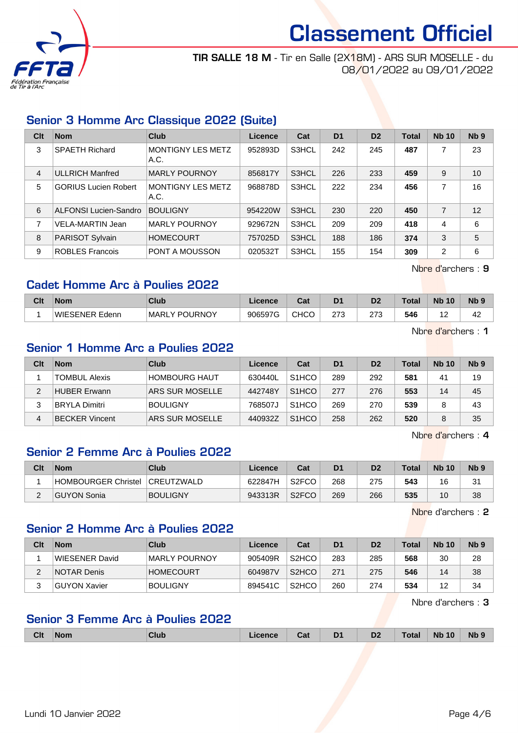

TIR SALLE 18 M - Tir en Salle (2X18M) - ARS SUR MOSELLE - du 08/01/2022 au 09/01/2022

#### Senior 3 Homme Arc Classique 2022 (Suite)

| Clt            | <b>Nom</b>                  | Club                             | Licence | Cat   | D <sub>1</sub> | D <sub>2</sub> | <b>Total</b> | <b>Nb 10</b>   | Nb <sub>9</sub> |
|----------------|-----------------------------|----------------------------------|---------|-------|----------------|----------------|--------------|----------------|-----------------|
| 3              | <b>SPAETH Richard</b>       | <b>MONTIGNY LES METZ</b><br>A.C. | 952893D | S3HCL | 242            | 245            | 487          | 7              | 23              |
| $\overline{4}$ | <b>ULLRICH Manfred</b>      | <b>MARLY POURNOY</b>             | 856817Y | S3HCL | 226            | 233            | 459          | 9              | 10              |
| 5              | <b>GORIUS Lucien Robert</b> | <b>MONTIGNY LES METZ</b><br>A.C. | 968878D | S3HCL | 222            | 234            | 456          | 7              | 16              |
| 6              | ALFONSI Lucien-Sandro       | <b>BOULIGNY</b>                  | 954220W | S3HCL | 230            | 220            | 450          | $\overline{7}$ | 12              |
| 7              | <b>VELA-MARTIN Jean</b>     | <b>MARLY POURNOY</b>             | 929672N | S3HCL | 209            | 209            | 418          | 4              | 6               |
| 8              | PARISOT Sylvain             | <b>HOMECOURT</b>                 | 757025D | S3HCL | 188            | 186            | 374          | 3              | 5               |
| 9              | <b>ROBLES Francois</b>      | PONT A MOUSSON                   | 020532T | S3HCL | 155            | 154            | 309          | 2              | 6               |

Nbre d'archers : 9

#### Cadet Homme Arc à Poulies 2022

| Clt | <b>Nom</b>            | <b>Club</b>               | ∠icence | $R_{\rm eff}$<br>⊍a | D <sub>1</sub> | D <sub>2</sub> | Total | <b>N<sub>b</sub></b><br>10 | N <sub>b</sub> <sub>9</sub> |
|-----|-----------------------|---------------------------|---------|---------------------|----------------|----------------|-------|----------------------------|-----------------------------|
|     | <b>WIESENER Edenn</b> | _Y POURNOY<br><b>MARL</b> | 906597G | <b>CHCO</b>         | つフつ            | つフつ<br>ں ہے    | 546   | -                          | 42                          |

Nbre d'archers : 1

#### Senior 1 Homme Arc a Poulies 2022

| Clt | <b>Nom</b>            | Club                 | Licence | Cat                | D <sub>1</sub> | D <sub>2</sub> | <b>Total</b> | <b>Nb 10</b> | N <sub>b</sub> <sub>9</sub> |
|-----|-----------------------|----------------------|---------|--------------------|----------------|----------------|--------------|--------------|-----------------------------|
|     | TOMBUL Alexis         | <b>HOMBOURG HAUT</b> | 630440L | S <sub>1</sub> HCO | 289            | 292            | 581          | 41           | 19                          |
|     | <b>HUBER Erwann</b>   | ARS SUR MOSELLE      | 442748Y | S <sub>1</sub> HCO | 277            | 276            | 553          | 14           | 45                          |
|     | <b>BRYLA Dimitri</b>  | <b>BOULIGNY</b>      | 768507J | S <sub>1</sub> HCO | 269            | 270            | 539          |              | 43                          |
| 4   | <b>BECKER Vincent</b> | ARS SUR MOSELLE      | 440932Z | S <sub>1</sub> HCO | 258            | 262            | 520          |              | 35                          |

Nbre d'archers : 4

#### Senior 2 Femme Arc à Poulies 2022

| Clt | <b>Nom</b>          | Club              | Licence | Cat                | D <sub>1</sub> | D <sub>2</sub> | <b>Total</b> | <b>Nb 10</b> | Nb <sub>9</sub> |
|-----|---------------------|-------------------|---------|--------------------|----------------|----------------|--------------|--------------|-----------------|
|     | HOMBOURGER Christel | <b>CREUTZWALD</b> | 622847H | S <sub>2</sub> FCO | 268            | 275            | 543          | 16           | 31              |
|     | GUYON Sonia         | <b>BOULIGNY</b>   | 943313R | S <sub>2</sub> FCO | 269            | 266            | 535          | 10           | 38              |

Nbre d'archers : 2

#### Senior 2 Homme Arc à Poulies 2022

| Clt | <b>Nom</b>     | Club             | Licence | Cat                | D <sub>1</sub> | D <sub>2</sub> | <b>Total</b> | <b>Nb 10</b> | N <sub>b</sub> 9 |
|-----|----------------|------------------|---------|--------------------|----------------|----------------|--------------|--------------|------------------|
|     | WIESENER David | MARLY POURNOY    | 905409R | S <sub>2</sub> HCO | 283            | 285            | 568          | 30           | 28               |
| ⌒   | NOTAR Denis    | <b>HOMECOURT</b> | 604987V | S <sub>2</sub> HCO | 271            | 275            | 546          | 14           | 38               |
| ົ   | GUYON Xavier   | <b>BOULIGNY</b>  | 894541C | S <sub>2</sub> HCO | 260            | 274            | 534          | 12           | 34               |

Nbre d'archers : 3

#### Senior 3 Femme Arc à Poulies 2022

| <b>Clt</b> | <b>Nom</b> | Nub. | `∽∔<br><u>val</u> | .DT<br>- - | D <sub>2</sub> | `otal | 10<br><b>Nb</b> | Nb! |
|------------|------------|------|-------------------|------------|----------------|-------|-----------------|-----|
|            |            |      |                   |            |                |       |                 |     |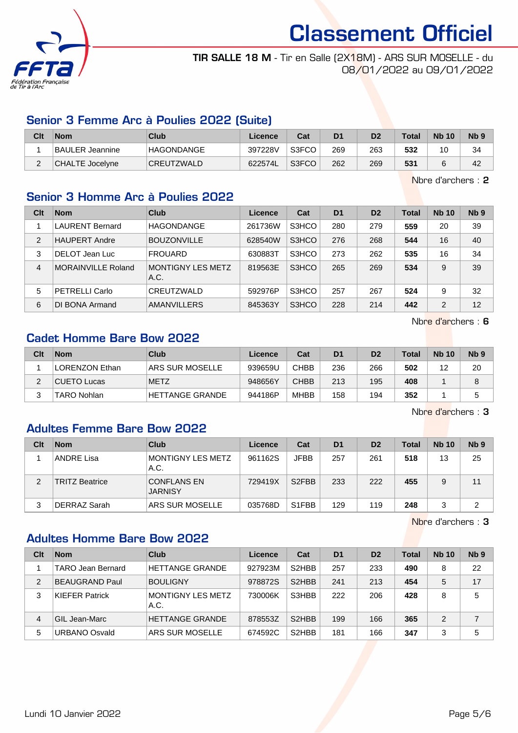

TIR SALLE 18 M - Tir en Salle (2X18M) - ARS SUR MOSELLE - du 08/01/2022 au 09/01/2022

#### Senior 3 Femme Arc à Poulies 2022 (Suite)

| Clt        | <b>Nom</b>      | Club              | Licence | Cat   | D1  | D2  | <b>Total</b> | <b>Nb 10</b> | N <sub>b</sub> <sub>9</sub> |
|------------|-----------------|-------------------|---------|-------|-----|-----|--------------|--------------|-----------------------------|
|            | BAULER Jeannine | <b>HAGONDANGE</b> | 397228V | S3FCO | 269 | 263 | 532          |              | 34                          |
| $\sqrt{2}$ | CHALTE Jocelyne | CREUTZWALD        | 622574L | S3FCO | 262 | 269 | 531          |              | 42                          |

Nbre d'archers : 2

#### Senior 3 Homme Arc à Poulies 2022

| Clt            | <b>Nom</b>             | Club                      | Licence | Cat   | D <sub>1</sub> | D <sub>2</sub> | <b>Total</b> | <b>Nb 10</b>   | Nb <sub>9</sub> |
|----------------|------------------------|---------------------------|---------|-------|----------------|----------------|--------------|----------------|-----------------|
|                | <b>LAURENT Bernard</b> | <b>HAGONDANGE</b>         | 261736W | S3HCO | 280            | 279            | 559          | 20             | 39              |
| 2              | <b>HAUPERT Andre</b>   | <b>BOUZONVILLE</b>        | 628540W | S3HCO | 276            | 268            | 544          | 16             | 40              |
| 3              | DELOT Jean Luc         | <b>FROUARD</b>            | 630883T | S3HCO | 273            | 262            | 535          | 16             | 34              |
| $\overline{4}$ | MORAINVILLE Roland     | MONTIGNY LES METZ<br>A.C. | 819563E | S3HCO | 265            | 269            | 534          | 9              | 39              |
| 5              | <b>PETRELLI Carlo</b>  | CREUTZWALD                | 592976P | S3HCO | 257            | 267            | 524          | 9              | 32              |
| 6              | DI BONA Armand         | <b>AMANVILLERS</b>        | 845363Y | S3HCO | 228            | 214            | 442          | $\overline{2}$ | 12              |

Nbre d'archers : 6

#### Cadet Homme Bare Bow 2022

| Clt | <b>Nom</b>     | Club                   | Licence | Cat         | D <sub>1</sub> | D <sub>2</sub> | <b>Total</b> | <b>Nb 10</b> | N <sub>b</sub> <sub>9</sub> |
|-----|----------------|------------------------|---------|-------------|----------------|----------------|--------------|--------------|-----------------------------|
|     | LORENZON Ethan | 'ARS SUR MOSELLE       | 939659U | <b>CHBB</b> | 236            | 266            | 502          | ィウ<br>▵      | 20                          |
| ∠   | CUETO Lucas    | <b>METZ</b>            | 948656Y | <b>CHBB</b> | 213            | 195            | 408          |              | 8                           |
|     | TARO Nohlan    | <b>HETTANGE GRANDE</b> | 944186P | <b>MHBB</b> | 158            | 194            | 352          |              |                             |

Nbre d'archers : 3

Nbre d'archers : 3

#### Adultes Femme Bare Bow 2022

| Clt | <b>Nom</b>        | Club                                 | Licence | Cat                | D <sub>1</sub> | D <sub>2</sub> | <b>Total</b> | <b>Nb 10</b> | N <sub>b</sub> <sub>9</sub> |
|-----|-------------------|--------------------------------------|---------|--------------------|----------------|----------------|--------------|--------------|-----------------------------|
|     | <b>ANDRE Lisa</b> | MONTIGNY LES METZ<br>A.C.            | 961162S | <b>JFBB</b>        | 257            | 261            | 518          | 13           | 25                          |
| 2   | TRITZ Beatrice    | <b>CONFLANS EN</b><br><b>JARNISY</b> | 729419X | S <sub>2</sub> FBB | 233            | 222            | 455          | 9            | 11                          |
| 3   | DERRAZ Sarah      | ARS SUR MOSELLE                      | 035768D | S <sub>1</sub> FBB | 129            | 119            | 248          |              | 2                           |

Adultes Homme Bare Bow 2022

| Clt            | <b>Nom</b>               | Club                             | Licence | Cat                | D <sub>1</sub> | D <sub>2</sub> | Total | <b>Nb 10</b> | Nb <sub>9</sub> |
|----------------|--------------------------|----------------------------------|---------|--------------------|----------------|----------------|-------|--------------|-----------------|
|                | <b>TARO Jean Bernard</b> | <b>HETTANGE GRANDE</b>           | 927923M | S <sub>2</sub> HBB | 257            | 233            | 490   | 8            | 22              |
| $\mathfrak{p}$ | <b>BEAUGRAND Paul</b>    | <b>BOULIGNY</b>                  | 978872S | S <sub>2</sub> HBB | 241            | 213            | 454   | 5            | 17              |
| 3              | <b>KIEFER Patrick</b>    | <b>MONTIGNY LES METZ</b><br>A.C. | 730006K | S3HBB              | 222            | 206            | 428   | 8            | 5               |
| 4              | GIL Jean-Marc            | <b>HETTANGE GRANDE</b>           | 878553Z | S <sub>2</sub> HBB | 199            | 166            | 365   | 2            |                 |
| 5              | <b>URBANO Osvald</b>     | ARS SUR MOSELLE                  | 674592C | S <sub>2</sub> HBB | 181            | 166            | 347   | 3            | 5               |